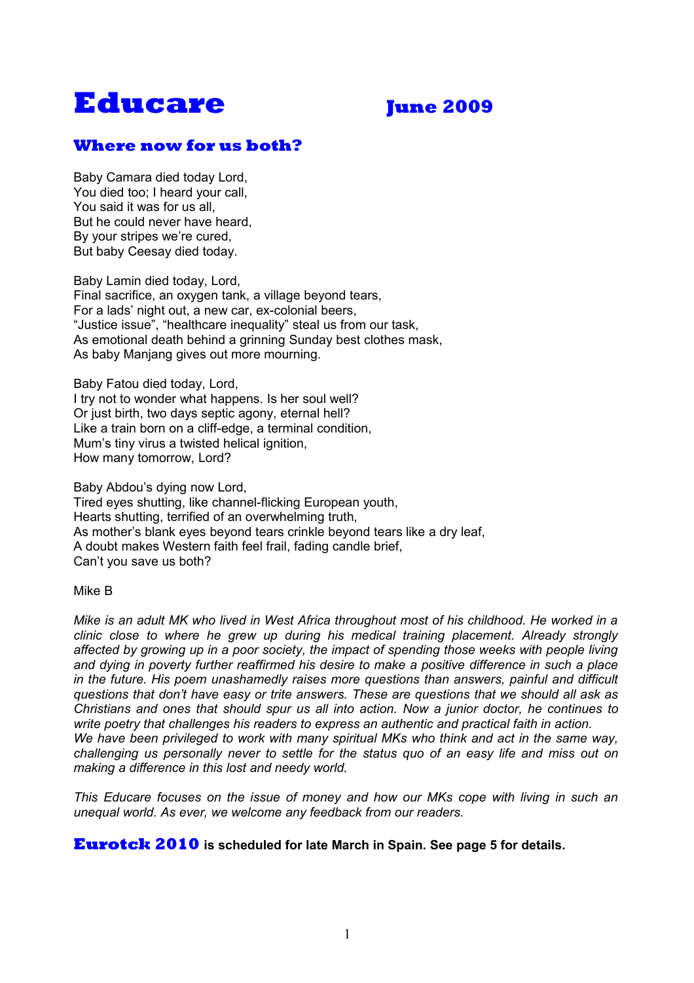# **Educare June 2009**

# **Where now for us both?**

Baby Camara died today Lord, You died too; I heard your call, You said it was for us all, But he could never have heard, By your stripes we're cured, But baby Ceesay died today.

Baby Lamin died today, Lord, Final sacrifice, an oxygen tank, a village beyond tears, For a lads' night out, a new car, ex-colonial beers, "Justice issue", "healthcare inequality" steal us from our task, As emotional death behind a grinning Sunday best clothes mask, As baby Manjang gives out more mourning.

Baby Fatou died today, Lord,

I try not to wonder what happens. Is her soul well? Or just birth, two days septic agony, eternal hell? Like a train born on a cliff-edge, a terminal condition, Mum's tiny virus a twisted helical ignition. How many tomorrow, Lord?

Baby Abdou's dying now Lord, Tired eyes shutting, like channel-flicking European youth, Hearts shutting, terrified of an overwhelming truth, As mother's blank eyes beyond tears crinkle beyond tears like a dry leaf, A doubt makes Western faith feel frail, fading candle brief, Can't you save us both?

#### Mike B

*Mike is an adult MK who lived in West Africa throughout most of his childhood. He worked in a clinic close to where he grew up during his medical training placement. Already strongly affected by growing up in a poor society, the impact of spending those weeks with people living and dying in poverty further reaffirmed his desire to make a positive difference in such a place in the future. His poem unashamedly raises more questions than answers, painful and difficult questions that don't have easy or trite answers. These are questions that we should all ask as Christians and ones that should spur us all into action. Now a junior doctor, he continues to write poetry that challenges his readers to express an authentic and practical faith in action. We have been privileged to work with many spiritual MKs who think and act in the same way, challenging us personally never to settle for the status quo of an easy life and miss out on making a difference in this lost and needy world.*

*This Educare focuses on the issue of money and how our MKs cope with living in such an unequal world. As ever, we welcome any feedback from our readers.*

#### **Eurotck 2010 is scheduled for late March in Spain. See page 5 for details.**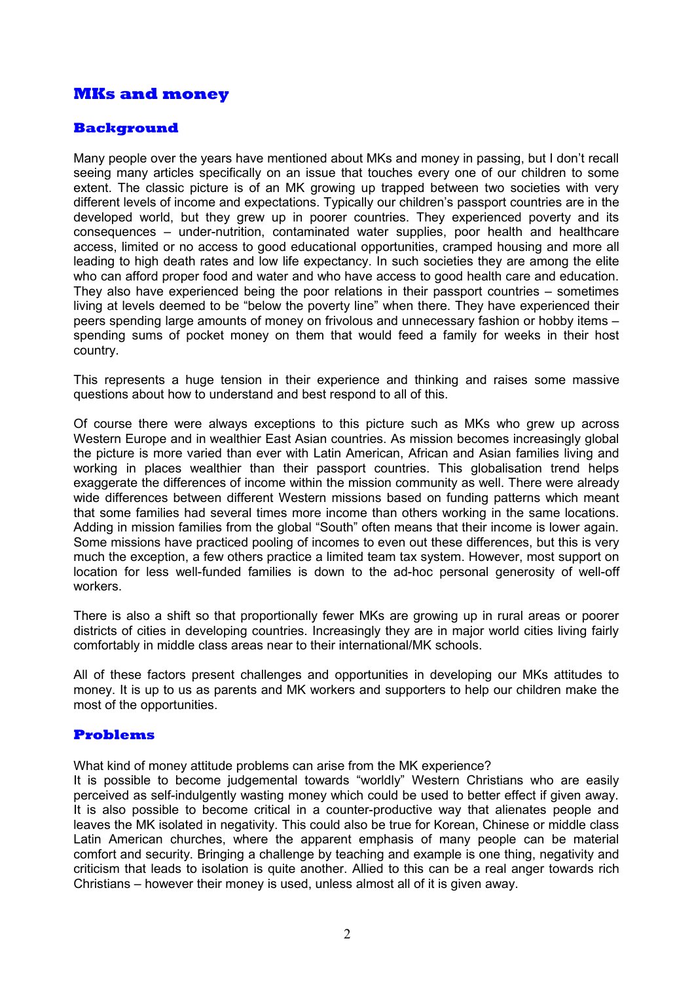# **MKs and money**

### **Background**

Many people over the years have mentioned about MKs and money in passing, but I don't recall seeing many articles specifically on an issue that touches every one of our children to some extent. The classic picture is of an MK growing up trapped between two societies with very different levels of income and expectations. Typically our children's passport countries are in the developed world, but they grew up in poorer countries. They experienced poverty and its consequences – under-nutrition, contaminated water supplies, poor health and healthcare access, limited or no access to good educational opportunities, cramped housing and more all leading to high death rates and low life expectancy. In such societies they are among the elite who can afford proper food and water and who have access to good health care and education. They also have experienced being the poor relations in their passport countries – sometimes living at levels deemed to be "below the poverty line" when there. They have experienced their peers spending large amounts of money on frivolous and unnecessary fashion or hobby items – spending sums of pocket money on them that would feed a family for weeks in their host country.

This represents a huge tension in their experience and thinking and raises some massive questions about how to understand and best respond to all of this.

Of course there were always exceptions to this picture such as MKs who grew up across Western Europe and in wealthier East Asian countries. As mission becomes increasingly global the picture is more varied than ever with Latin American, African and Asian families living and working in places wealthier than their passport countries. This globalisation trend helps exaggerate the differences of income within the mission community as well. There were already wide differences between different Western missions based on funding patterns which meant that some families had several times more income than others working in the same locations. Adding in mission families from the global "South" often means that their income is lower again. Some missions have practiced pooling of incomes to even out these differences, but this is very much the exception, a few others practice a limited team tax system. However, most support on location for less well-funded families is down to the ad-hoc personal generosity of well-off workers.

There is also a shift so that proportionally fewer MKs are growing up in rural areas or poorer districts of cities in developing countries. Increasingly they are in major world cities living fairly comfortably in middle class areas near to their international/MK schools.

All of these factors present challenges and opportunities in developing our MKs attitudes to money. It is up to us as parents and MK workers and supporters to help our children make the most of the opportunities.

#### **Problems**

What kind of money attitude problems can arise from the MK experience?

It is possible to become judgemental towards "worldly" Western Christians who are easily perceived as self-indulgently wasting money which could be used to better effect if given away. It is also possible to become critical in a counter-productive way that alienates people and leaves the MK isolated in negativity. This could also be true for Korean, Chinese or middle class Latin American churches, where the apparent emphasis of many people can be material comfort and security. Bringing a challenge by teaching and example is one thing, negativity and criticism that leads to isolation is quite another. Allied to this can be a real anger towards rich Christians – however their money is used, unless almost all of it is given away.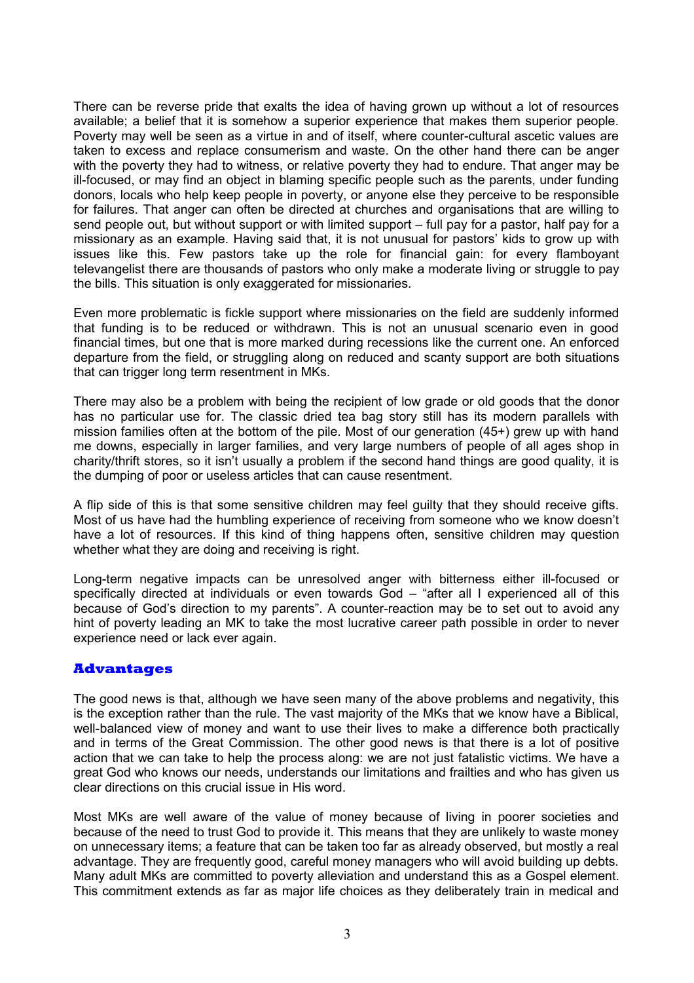There can be reverse pride that exalts the idea of having grown up without a lot of resources available; a belief that it is somehow a superior experience that makes them superior people. Poverty may well be seen as a virtue in and of itself, where counter-cultural ascetic values are taken to excess and replace consumerism and waste. On the other hand there can be anger with the poverty they had to witness, or relative poverty they had to endure. That anger may be ill-focused, or may find an object in blaming specific people such as the parents, under funding donors, locals who help keep people in poverty, or anyone else they perceive to be responsible for failures. That anger can often be directed at churches and organisations that are willing to send people out, but without support or with limited support – full pay for a pastor, half pay for a missionary as an example. Having said that, it is not unusual for pastors' kids to grow up with issues like this. Few pastors take up the role for financial gain: for every flamboyant televangelist there are thousands of pastors who only make a moderate living or struggle to pay the bills. This situation is only exaggerated for missionaries.

Even more problematic is fickle support where missionaries on the field are suddenly informed that funding is to be reduced or withdrawn. This is not an unusual scenario even in good financial times, but one that is more marked during recessions like the current one. An enforced departure from the field, or struggling along on reduced and scanty support are both situations that can trigger long term resentment in MKs.

There may also be a problem with being the recipient of low grade or old goods that the donor has no particular use for. The classic dried tea bag story still has its modern parallels with mission families often at the bottom of the pile. Most of our generation (45+) grew up with hand me downs, especially in larger families, and very large numbers of people of all ages shop in charity/thrift stores, so it isn't usually a problem if the second hand things are good quality, it is the dumping of poor or useless articles that can cause resentment.

A flip side of this is that some sensitive children may feel guilty that they should receive gifts. Most of us have had the humbling experience of receiving from someone who we know doesn't have a lot of resources. If this kind of thing happens often, sensitive children may question whether what they are doing and receiving is right.

Long-term negative impacts can be unresolved anger with bitterness either ill-focused or specifically directed at individuals or even towards God – "after all I experienced all of this because of God's direction to my parents". A counter-reaction may be to set out to avoid any hint of poverty leading an MK to take the most lucrative career path possible in order to never experience need or lack ever again.

#### **Advantages**

The good news is that, although we have seen many of the above problems and negativity, this is the exception rather than the rule. The vast majority of the MKs that we know have a Biblical, well-balanced view of money and want to use their lives to make a difference both practically and in terms of the Great Commission. The other good news is that there is a lot of positive action that we can take to help the process along: we are not just fatalistic victims. We have a great God who knows our needs, understands our limitations and frailties and who has given us clear directions on this crucial issue in His word.

Most MKs are well aware of the value of money because of living in poorer societies and because of the need to trust God to provide it. This means that they are unlikely to waste money on unnecessary items; a feature that can be taken too far as already observed, but mostly a real advantage. They are frequently good, careful money managers who will avoid building up debts. Many adult MKs are committed to poverty alleviation and understand this as a Gospel element. This commitment extends as far as major life choices as they deliberately train in medical and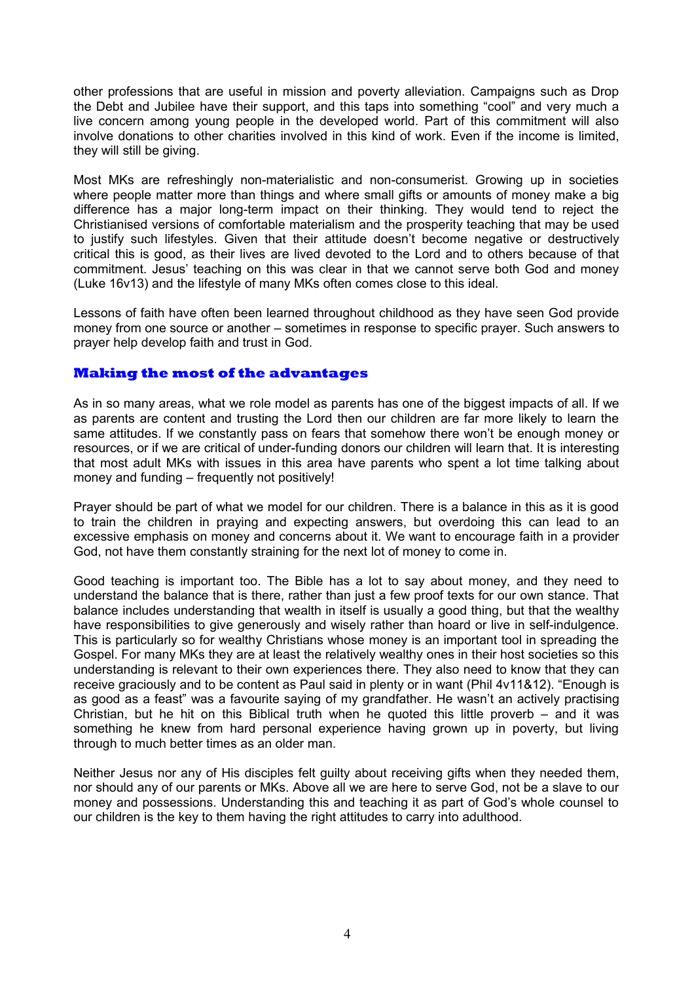other professions that are useful in mission and poverty alleviation. Campaigns such as Drop the Debt and Jubilee have their support, and this taps into something "cool" and very much a live concern among young people in the developed world. Part of this commitment will also involve donations to other charities involved in this kind of work. Even if the income is limited, they will still be giving.

Most MKs are refreshingly non-materialistic and non-consumerist. Growing up in societies where people matter more than things and where small gifts or amounts of money make a big difference has a major long-term impact on their thinking. They would tend to reject the Christianised versions of comfortable materialism and the prosperity teaching that may be used to justify such lifestyles. Given that their attitude doesn't become negative or destructively critical this is good, as their lives are lived devoted to the Lord and to others because of that commitment. Jesus' teaching on this was clear in that we cannot serve both God and money (Luke 16v13) and the lifestyle of many MKs often comes close to this ideal.

Lessons of faith have often been learned throughout childhood as they have seen God provide money from one source or another – sometimes in response to specific prayer. Such answers to prayer help develop faith and trust in God.

#### **Making the most of the advantages**

As in so many areas, what we role model as parents has one of the biggest impacts of all. If we as parents are content and trusting the Lord then our children are far more likely to learn the same attitudes. If we constantly pass on fears that somehow there won't be enough money or resources, or if we are critical of under-funding donors our children will learn that. It is interesting that most adult MKs with issues in this area have parents who spent a lot time talking about money and funding – frequently not positively!

Prayer should be part of what we model for our children. There is a balance in this as it is good to train the children in praying and expecting answers, but overdoing this can lead to an excessive emphasis on money and concerns about it. We want to encourage faith in a provider God, not have them constantly straining for the next lot of money to come in.

Good teaching is important too. The Bible has a lot to say about money, and they need to understand the balance that is there, rather than just a few proof texts for our own stance. That balance includes understanding that wealth in itself is usually a good thing, but that the wealthy have responsibilities to give generously and wisely rather than hoard or live in self-indulgence. This is particularly so for wealthy Christians whose money is an important tool in spreading the Gospel. For many MKs they are at least the relatively wealthy ones in their host societies so this understanding is relevant to their own experiences there. They also need to know that they can receive graciously and to be content as Paul said in plenty or in want (Phil 4v11&12). "Enough is as good as a feast" was a favourite saying of my grandfather. He wasn't an actively practising Christian, but he hit on this Biblical truth when he quoted this little proverb – and it was something he knew from hard personal experience having grown up in poverty, but living through to much better times as an older man.

Neither Jesus nor any of His disciples felt guilty about receiving gifts when they needed them, nor should any of our parents or MKs. Above all we are here to serve God, not be a slave to our money and possessions. Understanding this and teaching it as part of God's whole counsel to our children is the key to them having the right attitudes to carry into adulthood.